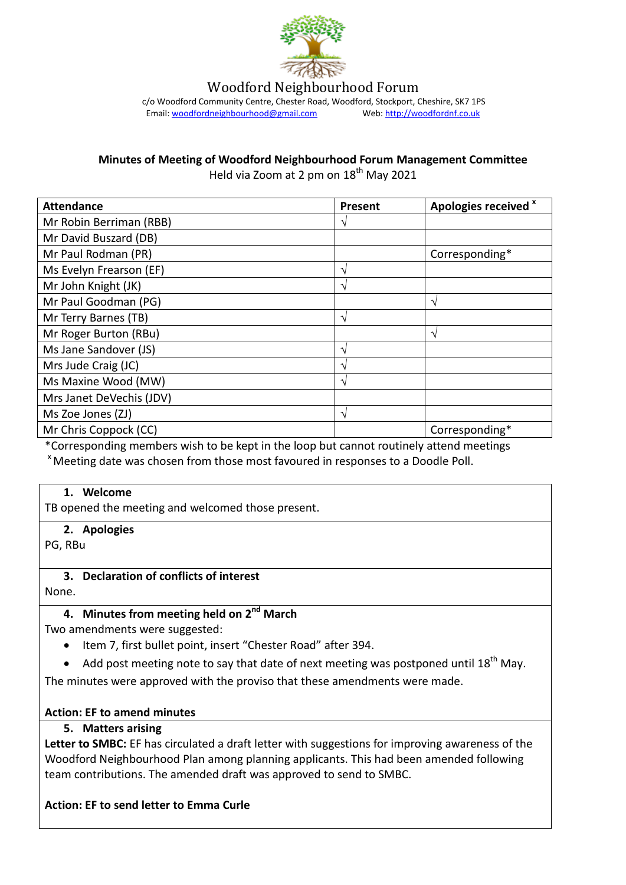

Woodford Neighbourhood Forum

c/o Woodford Community Centre, Chester Road, Woodford, Stockport, Cheshire, SK7 1PS<br>Email: woodfordneighbourhood@gmail.com Web: http://woodfordnf.co.uk Email: woodfordneighbourhood@gmail.com

**Minutes of Meeting of Woodford Neighbourhood Forum Management Committee**

Held via Zoom at 2 pm on 18<sup>th</sup> May 2021

| <b>Attendance</b>        | Present | Apologies received x |
|--------------------------|---------|----------------------|
| Mr Robin Berriman (RBB)  | ٦       |                      |
| Mr David Buszard (DB)    |         |                      |
| Mr Paul Rodman (PR)      |         | Corresponding*       |
| Ms Evelyn Frearson (EF)  | ٦       |                      |
| Mr John Knight (JK)      | ٦       |                      |
| Mr Paul Goodman (PG)     |         | N                    |
| Mr Terry Barnes (TB)     | ٦       |                      |
| Mr Roger Burton (RBu)    |         | $\sqrt{ }$           |
| Ms Jane Sandover (JS)    | ٦       |                      |
| Mrs Jude Craig (JC)      | ٦       |                      |
| Ms Maxine Wood (MW)      | ٦       |                      |
| Mrs Janet DeVechis (JDV) |         |                      |
| Ms Zoe Jones (ZJ)        | ٦       |                      |
| Mr Chris Coppock (CC)    |         | Corresponding*       |

\*Corresponding members wish to be kept in the loop but cannot routinely attend meetings <sup>x</sup> Meeting date was chosen from those most favoured in responses to a Doodle Poll.

#### **1. Welcome**

TB opened the meeting and welcomed those present.

**2. Apologies**

PG, RBu

#### **3. Declaration of conflicts of interest**

None.

### **4. Minutes from meeting held on 2nd March**

Two amendments were suggested:

- Item 7, first bullet point, insert "Chester Road" after 394.
- Add post meeting note to say that date of next meeting was postponed until  $18^{th}$  May.

The minutes were approved with the proviso that these amendments were made.

#### **Action: EF to amend minutes**

**5. Matters arising**

**Letter to SMBC:** EF has circulated a draft letter with suggestions for improving awareness of the Woodford Neighbourhood Plan among planning applicants. This had been amended following team contributions. The amended draft was approved to send to SMBC.

#### **Action: EF to send letter to Emma Curle**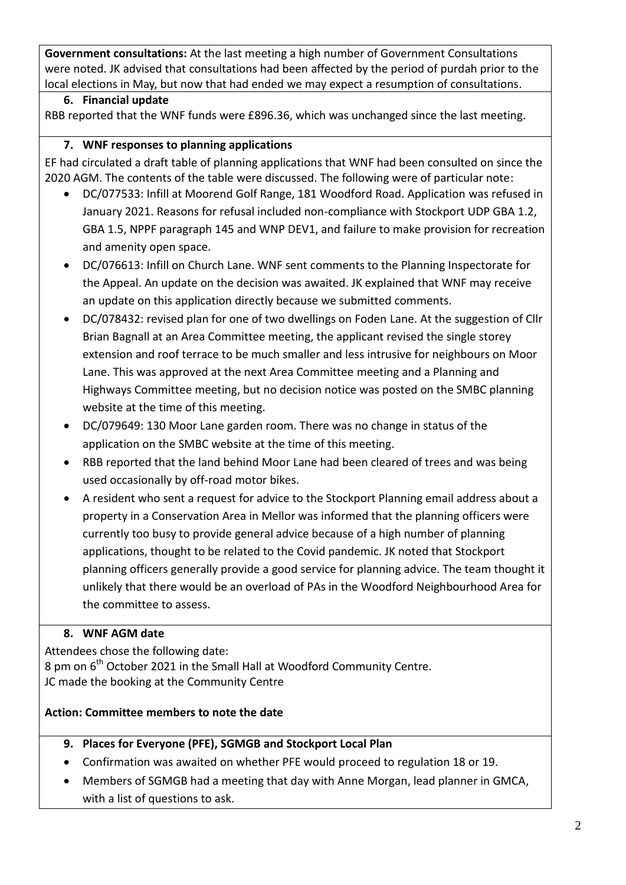**Government consultations:** At the last meeting a high number of Government Consultations were noted. JK advised that consultations had been affected by the period of purdah prior to the local elections in May, but now that had ended we may expect a resumption of consultations.

### **6. Financial update**

RBB reported that the WNF funds were £896.36, which was unchanged since the last meeting.

## **7. WNF responses to planning applications**

EF had circulated a draft table of planning applications that WNF had been consulted on since the 2020 AGM. The contents of the table were discussed. The following were of particular note:

- DC/077533: Infill at Moorend Golf Range, 181 Woodford Road. Application was refused in January 2021. Reasons for refusal included non-compliance with Stockport UDP GBA 1.2, GBA 1.5, NPPF paragraph 145 and WNP DEV1, and failure to make provision for recreation and amenity open space.
- DC/076613: Infill on Church Lane. WNF sent comments to the Planning Inspectorate for the Appeal. An update on the decision was awaited. JK explained that WNF may receive an update on this application directly because we submitted comments.
- DC/078432: revised plan for one of two dwellings on Foden Lane. At the suggestion of Cllr Brian Bagnall at an Area Committee meeting, the applicant revised the single storey extension and roof terrace to be much smaller and less intrusive for neighbours on Moor Lane. This was approved at the next Area Committee meeting and a Planning and Highways Committee meeting, but no decision notice was posted on the SMBC planning website at the time of this meeting.
- DC/079649: 130 Moor Lane garden room. There was no change in status of the application on the SMBC website at the time of this meeting.
- RBB reported that the land behind Moor Lane had been cleared of trees and was being used occasionally by off-road motor bikes.
- A resident who sent a request for advice to the Stockport Planning email address about a property in a Conservation Area in Mellor was informed that the planning officers were currently too busy to provide general advice because of a high number of planning applications, thought to be related to the Covid pandemic. JK noted that Stockport planning officers generally provide a good service for planning advice. The team thought it unlikely that there would be an overload of PAs in the Woodford Neighbourhood Area for the committee to assess.

# **8. WNF AGM date**

Attendees chose the following date: 8 pm on 6<sup>th</sup> October 2021 in the Small Hall at Woodford Community Centre. JC made the booking at the Community Centre

## **Action: Committee members to note the date**

- **9. Places for Everyone (PFE), SGMGB and Stockport Local Plan**
- Confirmation was awaited on whether PFE would proceed to regulation 18 or 19.
- Members of SGMGB had a meeting that day with Anne Morgan, lead planner in GMCA, with a list of questions to ask.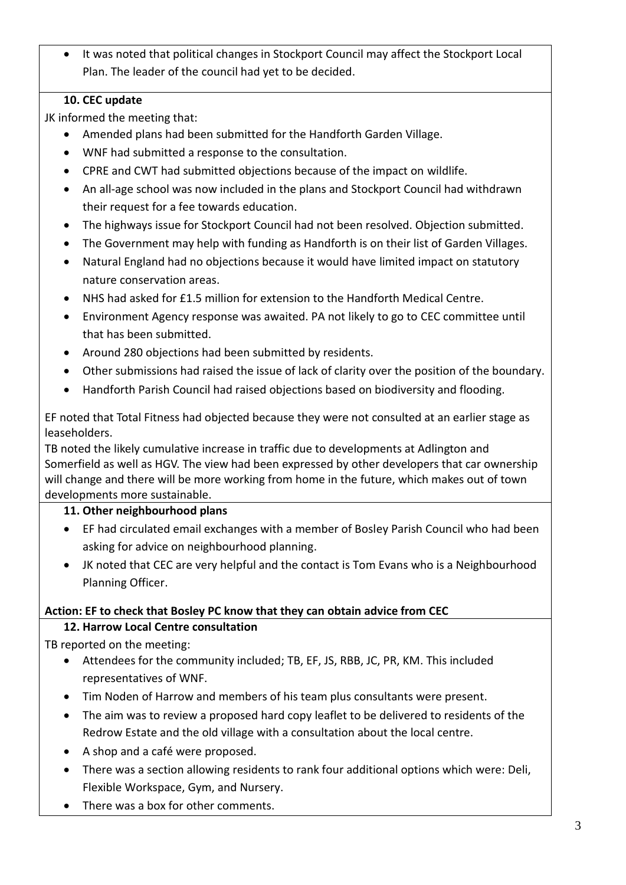• It was noted that political changes in Stockport Council may affect the Stockport Local Plan. The leader of the council had yet to be decided.

## **10. CEC update**

JK informed the meeting that:

- Amended plans had been submitted for the Handforth Garden Village.
- WNF had submitted a response to the consultation.
- CPRE and CWT had submitted objections because of the impact on wildlife.
- An all-age school was now included in the plans and Stockport Council had withdrawn their request for a fee towards education.
- The highways issue for Stockport Council had not been resolved. Objection submitted.
- The Government may help with funding as Handforth is on their list of Garden Villages.
- Natural England had no objections because it would have limited impact on statutory nature conservation areas.
- NHS had asked for £1.5 million for extension to the Handforth Medical Centre.
- Environment Agency response was awaited. PA not likely to go to CEC committee until that has been submitted.
- Around 280 objections had been submitted by residents.
- Other submissions had raised the issue of lack of clarity over the position of the boundary.
- Handforth Parish Council had raised objections based on biodiversity and flooding.

EF noted that Total Fitness had objected because they were not consulted at an earlier stage as leaseholders.

TB noted the likely cumulative increase in traffic due to developments at Adlington and Somerfield as well as HGV. The view had been expressed by other developers that car ownership will change and there will be more working from home in the future, which makes out of town developments more sustainable.

### **11. Other neighbourhood plans**

- EF had circulated email exchanges with a member of Bosley Parish Council who had been asking for advice on neighbourhood planning.
- JK noted that CEC are very helpful and the contact is Tom Evans who is a Neighbourhood Planning Officer.

## **Action: EF to check that Bosley PC know that they can obtain advice from CEC**

## **12. Harrow Local Centre consultation**

TB reported on the meeting:

- Attendees for the community included; TB, EF, JS, RBB, JC, PR, KM. This included representatives of WNF.
- Tim Noden of Harrow and members of his team plus consultants were present.
- The aim was to review a proposed hard copy leaflet to be delivered to residents of the Redrow Estate and the old village with a consultation about the local centre.
- A shop and a café were proposed.
- There was a section allowing residents to rank four additional options which were: Deli, Flexible Workspace, Gym, and Nursery.
- There was a box for other comments.